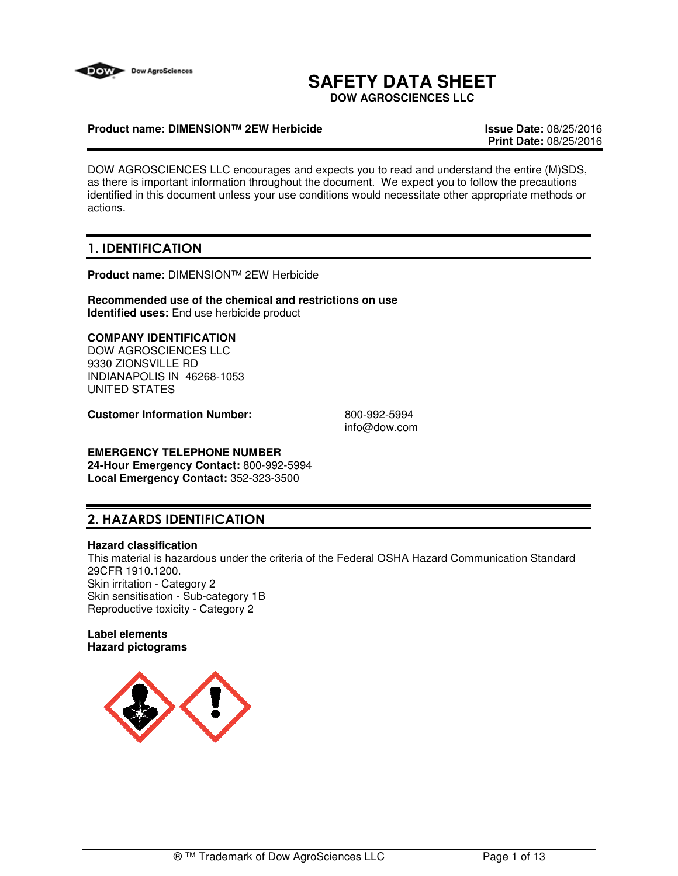

# **SAFETY DATA SHEET**

**DOW AGROSCIENCES LLC**

### **Product name: DIMENSION™ 2EW Herbicide Issue Date:** 08/25/2016

**Print Date:** 08/25/2016

DOW AGROSCIENCES LLC encourages and expects you to read and understand the entire (M)SDS, as there is important information throughout the document. We expect you to follow the precautions identified in this document unless your use conditions would necessitate other appropriate methods or actions.

## **1. IDENTIFICATION**

**Product name:** DIMENSION™ 2EW Herbicide

**Recommended use of the chemical and restrictions on use Identified uses:** End use herbicide product

### **COMPANY IDENTIFICATION**

DOW AGROSCIENCES LLC 9330 ZIONSVILLE RD INDIANAPOLIS IN 46268-1053 UNITED STATES

**Customer Information Number:** 800-992-5994

info@dow.com

# **EMERGENCY TELEPHONE NUMBER**

**24-Hour Emergency Contact:** 800-992-5994 **Local Emergency Contact:** 352-323-3500

## **2. HAZARDS IDENTIFICATION**

#### **Hazard classification**

This material is hazardous under the criteria of the Federal OSHA Hazard Communication Standard 29CFR 1910.1200. Skin irritation - Category 2 Skin sensitisation - Sub-category 1B Reproductive toxicity - Category 2

### **Label elements Hazard pictograms**

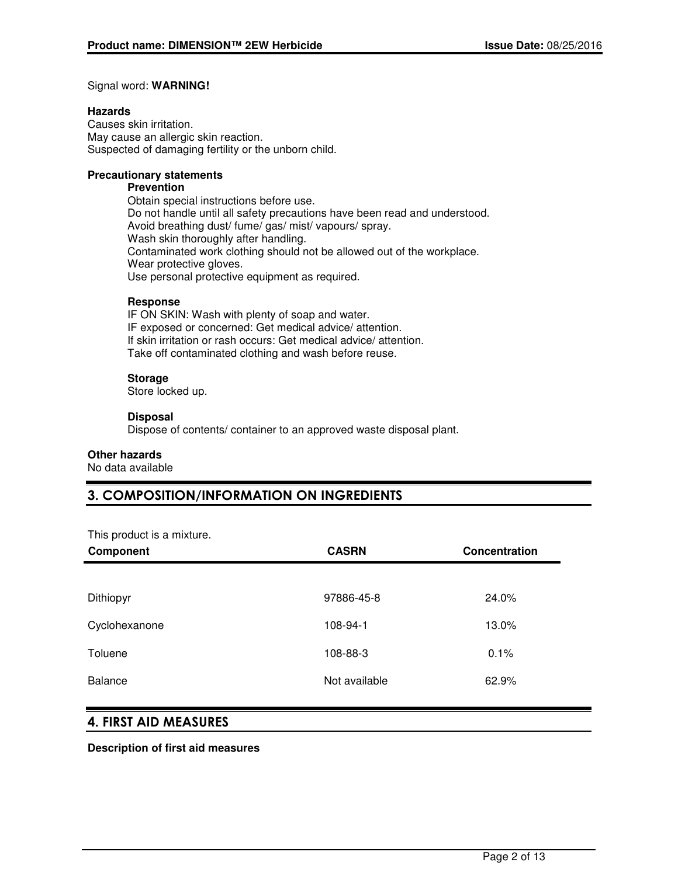#### Signal word: **WARNING!**

#### **Hazards**

Causes skin irritation. May cause an allergic skin reaction. Suspected of damaging fertility or the unborn child.

#### **Precautionary statements**

#### **Prevention**

Obtain special instructions before use. Do not handle until all safety precautions have been read and understood. Avoid breathing dust/ fume/ gas/ mist/ vapours/ spray. Wash skin thoroughly after handling. Contaminated work clothing should not be allowed out of the workplace. Wear protective gloves. Use personal protective equipment as required.

#### **Response**

IF ON SKIN: Wash with plenty of soap and water. IF exposed or concerned: Get medical advice/ attention. If skin irritation or rash occurs: Get medical advice/ attention. Take off contaminated clothing and wash before reuse.

#### **Storage**

Store locked up.

#### **Disposal**

Dispose of contents/ container to an approved waste disposal plant.

#### **Other hazards**

No data available

## **3. COMPOSITION/INFORMATION ON INGREDIENTS**

This product is a mixture.

| Component      | <b>CASRN</b>  | Concentration |
|----------------|---------------|---------------|
|                |               |               |
| Dithiopyr      | 97886-45-8    | 24.0%         |
| Cyclohexanone  | 108-94-1      | 13.0%         |
| Toluene        | 108-88-3      | 0.1%          |
| <b>Balance</b> | Not available | 62.9%         |

### **4. FIRST AID MEASURES**

**Description of first aid measures**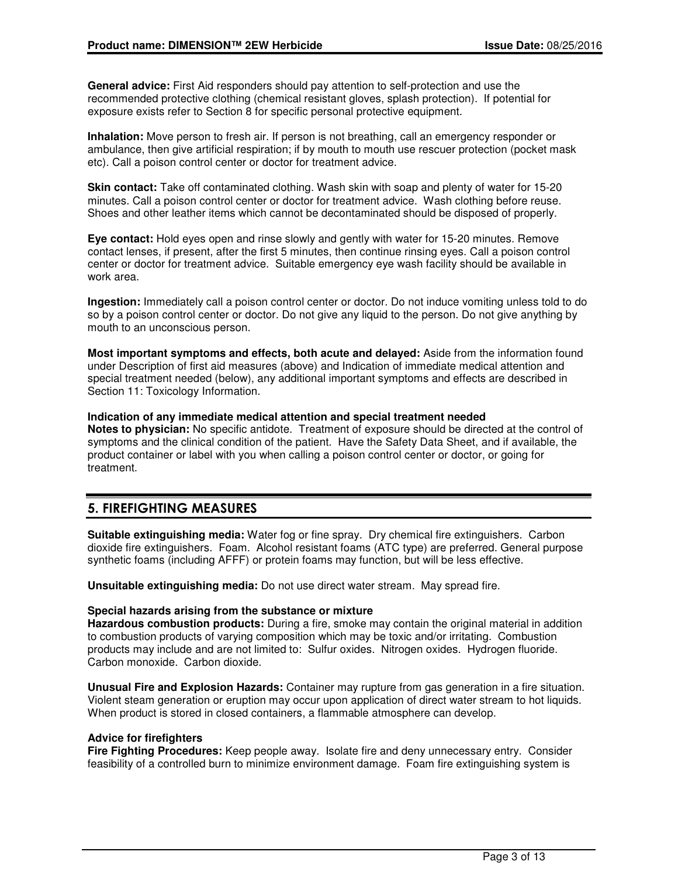**General advice:** First Aid responders should pay attention to self-protection and use the recommended protective clothing (chemical resistant gloves, splash protection). If potential for exposure exists refer to Section 8 for specific personal protective equipment.

**Inhalation:** Move person to fresh air. If person is not breathing, call an emergency responder or ambulance, then give artificial respiration; if by mouth to mouth use rescuer protection (pocket mask etc). Call a poison control center or doctor for treatment advice.

**Skin contact:** Take off contaminated clothing. Wash skin with soap and plenty of water for 15-20 minutes. Call a poison control center or doctor for treatment advice. Wash clothing before reuse. Shoes and other leather items which cannot be decontaminated should be disposed of properly.

**Eye contact:** Hold eyes open and rinse slowly and gently with water for 15-20 minutes. Remove contact lenses, if present, after the first 5 minutes, then continue rinsing eyes. Call a poison control center or doctor for treatment advice. Suitable emergency eye wash facility should be available in work area.

**Ingestion:** Immediately call a poison control center or doctor. Do not induce vomiting unless told to do so by a poison control center or doctor. Do not give any liquid to the person. Do not give anything by mouth to an unconscious person.

**Most important symptoms and effects, both acute and delayed:** Aside from the information found under Description of first aid measures (above) and Indication of immediate medical attention and special treatment needed (below), any additional important symptoms and effects are described in Section 11: Toxicology Information.

#### **Indication of any immediate medical attention and special treatment needed Notes to physician:** No specific antidote. Treatment of exposure should be directed at the control of symptoms and the clinical condition of the patient. Have the Safety Data Sheet, and if available, the product container or label with you when calling a poison control center or doctor, or going for

## **5. FIREFIGHTING MEASURES**

treatment.

**Suitable extinguishing media:** Water fog or fine spray. Dry chemical fire extinguishers. Carbon dioxide fire extinguishers. Foam. Alcohol resistant foams (ATC type) are preferred. General purpose synthetic foams (including AFFF) or protein foams may function, but will be less effective.

**Unsuitable extinguishing media:** Do not use direct water stream. May spread fire.

#### **Special hazards arising from the substance or mixture**

**Hazardous combustion products:** During a fire, smoke may contain the original material in addition to combustion products of varying composition which may be toxic and/or irritating. Combustion products may include and are not limited to: Sulfur oxides. Nitrogen oxides. Hydrogen fluoride. Carbon monoxide. Carbon dioxide.

**Unusual Fire and Explosion Hazards:** Container may rupture from gas generation in a fire situation. Violent steam generation or eruption may occur upon application of direct water stream to hot liquids. When product is stored in closed containers, a flammable atmosphere can develop.

#### **Advice for firefighters**

**Fire Fighting Procedures:** Keep people away. Isolate fire and deny unnecessary entry. Consider feasibility of a controlled burn to minimize environment damage. Foam fire extinguishing system is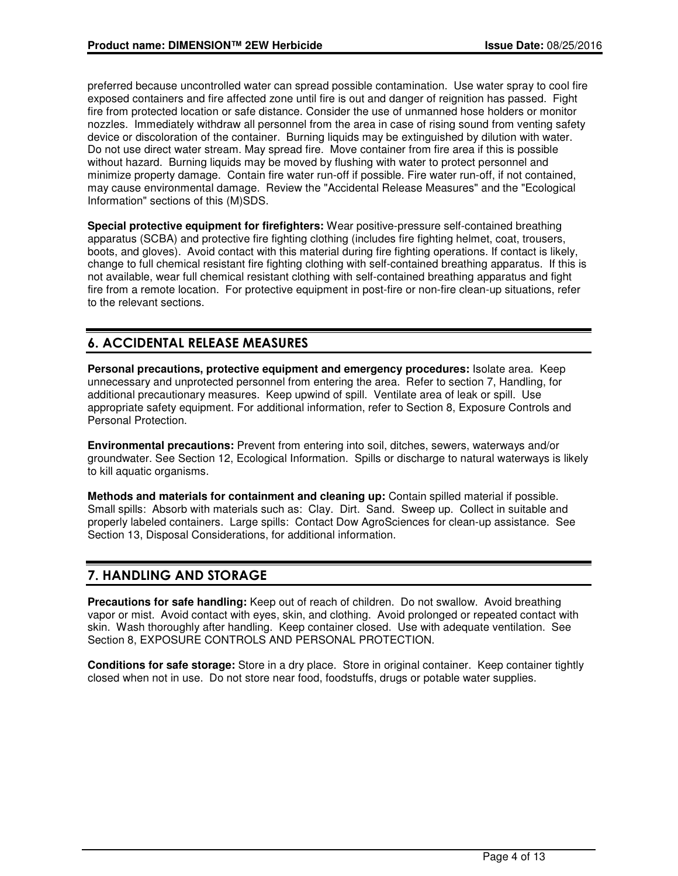preferred because uncontrolled water can spread possible contamination. Use water spray to cool fire exposed containers and fire affected zone until fire is out and danger of reignition has passed. Fight fire from protected location or safe distance. Consider the use of unmanned hose holders or monitor nozzles. Immediately withdraw all personnel from the area in case of rising sound from venting safety device or discoloration of the container. Burning liquids may be extinguished by dilution with water. Do not use direct water stream. May spread fire. Move container from fire area if this is possible without hazard. Burning liquids may be moved by flushing with water to protect personnel and minimize property damage. Contain fire water run-off if possible. Fire water run-off, if not contained, may cause environmental damage. Review the "Accidental Release Measures" and the "Ecological Information" sections of this (M)SDS.

**Special protective equipment for firefighters:** Wear positive-pressure self-contained breathing apparatus (SCBA) and protective fire fighting clothing (includes fire fighting helmet, coat, trousers, boots, and gloves). Avoid contact with this material during fire fighting operations. If contact is likely, change to full chemical resistant fire fighting clothing with self-contained breathing apparatus. If this is not available, wear full chemical resistant clothing with self-contained breathing apparatus and fight fire from a remote location. For protective equipment in post-fire or non-fire clean-up situations, refer to the relevant sections.

## **6. ACCIDENTAL RELEASE MEASURES**

**Personal precautions, protective equipment and emergency procedures:** Isolate area. Keep unnecessary and unprotected personnel from entering the area. Refer to section 7, Handling, for additional precautionary measures. Keep upwind of spill. Ventilate area of leak or spill. Use appropriate safety equipment. For additional information, refer to Section 8, Exposure Controls and Personal Protection.

**Environmental precautions:** Prevent from entering into soil, ditches, sewers, waterways and/or groundwater. See Section 12, Ecological Information. Spills or discharge to natural waterways is likely to kill aquatic organisms.

**Methods and materials for containment and cleaning up:** Contain spilled material if possible. Small spills: Absorb with materials such as: Clay. Dirt. Sand. Sweep up. Collect in suitable and properly labeled containers. Large spills: Contact Dow AgroSciences for clean-up assistance. See Section 13, Disposal Considerations, for additional information.

## **7. HANDLING AND STORAGE**

**Precautions for safe handling:** Keep out of reach of children. Do not swallow. Avoid breathing vapor or mist. Avoid contact with eyes, skin, and clothing. Avoid prolonged or repeated contact with skin. Wash thoroughly after handling. Keep container closed. Use with adequate ventilation. See Section 8, EXPOSURE CONTROLS AND PERSONAL PROTECTION.

**Conditions for safe storage:** Store in a dry place. Store in original container. Keep container tightly closed when not in use. Do not store near food, foodstuffs, drugs or potable water supplies.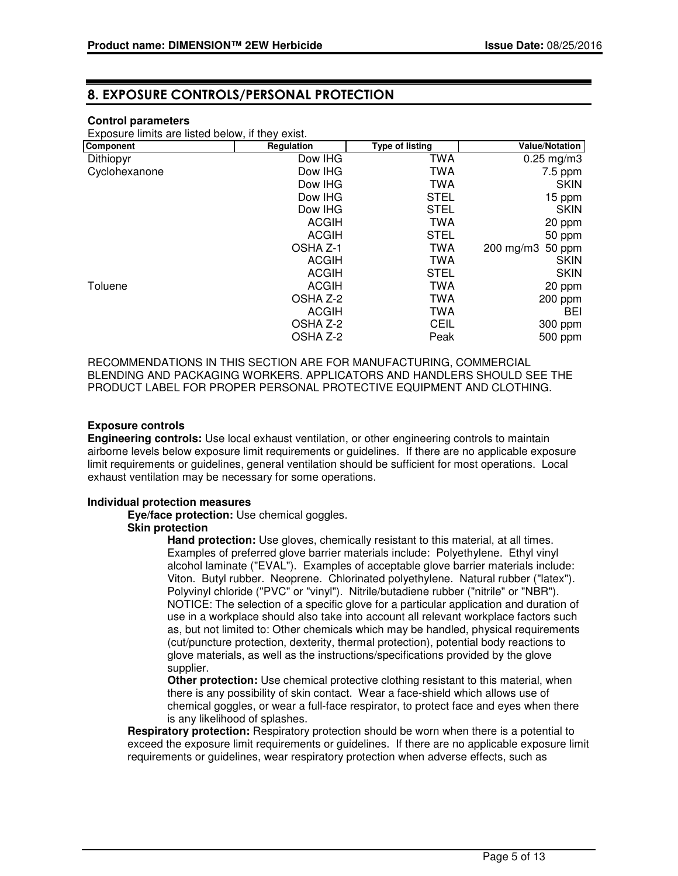## **8. EXPOSURE CONTROLS/PERSONAL PROTECTION**

### **Control parameters**

Exposure limits are listed below, if they exist.

| Component     | Regulation   | <b>Type of listing</b> | <b>Value/Notation</b> |
|---------------|--------------|------------------------|-----------------------|
| Dithiopyr     | Dow IHG      | TWA                    | $0.25$ mg/m3          |
| Cyclohexanone | Dow IHG      | TWA                    | $7.5$ ppm             |
|               | Dow IHG      | <b>TWA</b>             | <b>SKIN</b>           |
|               | Dow IHG      | <b>STEL</b>            | 15 ppm                |
|               | Dow IHG      | <b>STEL</b>            | <b>SKIN</b>           |
|               | <b>ACGIH</b> | <b>TWA</b>             | 20 ppm                |
|               | <b>ACGIH</b> | <b>STEL</b>            | 50 ppm                |
|               | OSHA Z-1     | <b>TWA</b>             | 200 mg/m3<br>50 ppm   |
|               | <b>ACGIH</b> | TWA                    | <b>SKIN</b>           |
|               | <b>ACGIH</b> | <b>STEL</b>            | <b>SKIN</b>           |
| Toluene       | <b>ACGIH</b> | TWA                    | 20 ppm                |
|               | OSHA Z-2     | TWA                    | 200 ppm               |
|               | <b>ACGIH</b> | TWA                    | <b>BEI</b>            |
|               | OSHA Z-2     | <b>CEIL</b>            | 300 ppm               |
|               | OSHA Z-2     | Peak                   | 500 ppm               |

RECOMMENDATIONS IN THIS SECTION ARE FOR MANUFACTURING, COMMERCIAL BLENDING AND PACKAGING WORKERS. APPLICATORS AND HANDLERS SHOULD SEE THE PRODUCT LABEL FOR PROPER PERSONAL PROTECTIVE EQUIPMENT AND CLOTHING.

### **Exposure controls**

**Engineering controls:** Use local exhaust ventilation, or other engineering controls to maintain airborne levels below exposure limit requirements or guidelines. If there are no applicable exposure limit requirements or guidelines, general ventilation should be sufficient for most operations. Local exhaust ventilation may be necessary for some operations.

#### **Individual protection measures**

**Eye/face protection:** Use chemical goggles.

#### **Skin protection**

**Hand protection:** Use gloves, chemically resistant to this material, at all times. Examples of preferred glove barrier materials include: Polyethylene. Ethyl vinyl alcohol laminate ("EVAL"). Examples of acceptable glove barrier materials include: Viton. Butyl rubber. Neoprene. Chlorinated polyethylene. Natural rubber ("latex"). Polyvinyl chloride ("PVC" or "vinyl"). Nitrile/butadiene rubber ("nitrile" or "NBR"). NOTICE: The selection of a specific glove for a particular application and duration of use in a workplace should also take into account all relevant workplace factors such as, but not limited to: Other chemicals which may be handled, physical requirements (cut/puncture protection, dexterity, thermal protection), potential body reactions to glove materials, as well as the instructions/specifications provided by the glove supplier.

**Other protection:** Use chemical protective clothing resistant to this material, when there is any possibility of skin contact. Wear a face-shield which allows use of chemical goggles, or wear a full-face respirator, to protect face and eyes when there is any likelihood of splashes.

**Respiratory protection:** Respiratory protection should be worn when there is a potential to exceed the exposure limit requirements or guidelines. If there are no applicable exposure limit requirements or guidelines, wear respiratory protection when adverse effects, such as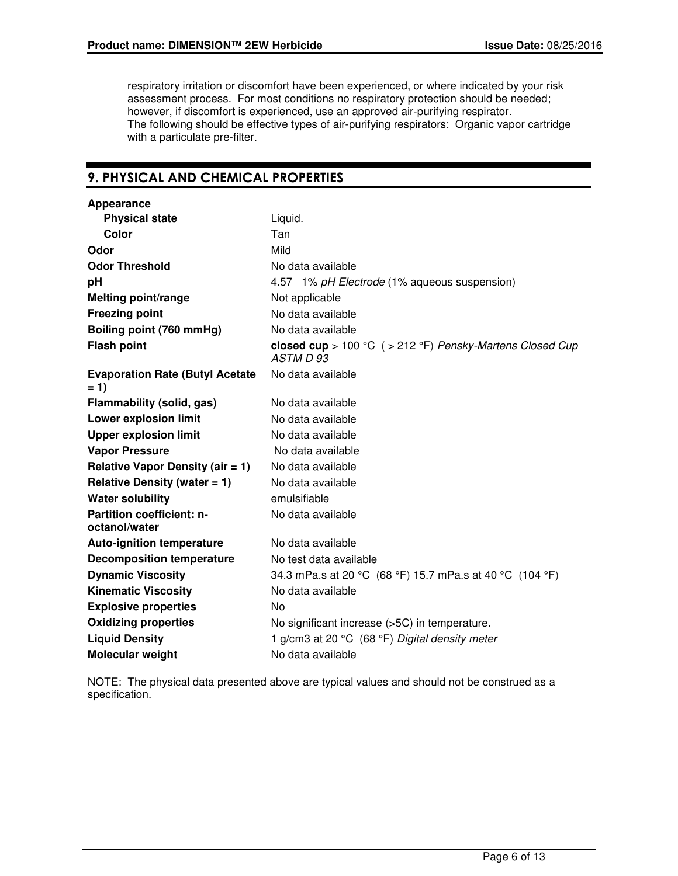respiratory irritation or discomfort have been experienced, or where indicated by your risk assessment process. For most conditions no respiratory protection should be needed; however, if discomfort is experienced, use an approved air-purifying respirator. The following should be effective types of air-purifying respirators: Organic vapor cartridge with a particulate pre-filter.

## **9. PHYSICAL AND CHEMICAL PROPERTIES**

| Appearance                                        |                                                                         |
|---------------------------------------------------|-------------------------------------------------------------------------|
| <b>Physical state</b>                             | Liquid.                                                                 |
| Color                                             | Tan                                                                     |
| Odor                                              | Mild                                                                    |
| <b>Odor Threshold</b>                             | No data available                                                       |
| рH                                                | 4.57 1% pH Electrode (1% aqueous suspension)                            |
| <b>Melting point/range</b>                        | Not applicable                                                          |
| <b>Freezing point</b>                             | No data available                                                       |
| Boiling point (760 mmHg)                          | No data available                                                       |
| <b>Flash point</b>                                | closed cup > 100 °C $($ > 212 °F) Pensky-Martens Closed Cup<br>ASTM D93 |
| <b>Evaporation Rate (Butyl Acetate)</b><br>$= 1$  | No data available                                                       |
| Flammability (solid, gas)                         | No data available                                                       |
| Lower explosion limit                             | No data available                                                       |
| <b>Upper explosion limit</b>                      | No data available                                                       |
| <b>Vapor Pressure</b>                             | No data available                                                       |
| <b>Relative Vapor Density (air = 1)</b>           | No data available                                                       |
| Relative Density (water $= 1$ )                   | No data available                                                       |
| <b>Water solubility</b>                           | emulsifiable                                                            |
| <b>Partition coefficient: n-</b><br>octanol/water | No data available                                                       |
| <b>Auto-ignition temperature</b>                  | No data available                                                       |
| <b>Decomposition temperature</b>                  | No test data available                                                  |
| <b>Dynamic Viscosity</b>                          | 34.3 mPa.s at 20 °C (68 °F) 15.7 mPa.s at 40 °C (104 °F)                |
| <b>Kinematic Viscosity</b>                        | No data available                                                       |
| <b>Explosive properties</b>                       | No.                                                                     |
| <b>Oxidizing properties</b>                       | No significant increase (>5C) in temperature.                           |
| <b>Liquid Density</b>                             | 1 g/cm3 at 20 °C (68 °F) Digital density meter                          |
| Molecular weight                                  | No data available                                                       |

NOTE: The physical data presented above are typical values and should not be construed as a specification.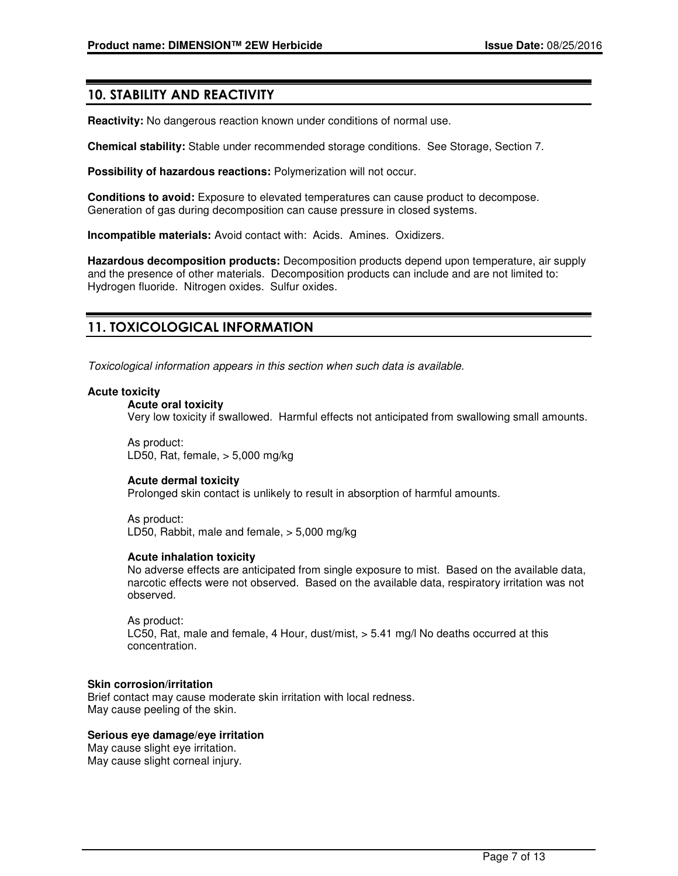### **10. STABILITY AND REACTIVITY**

**Reactivity:** No dangerous reaction known under conditions of normal use.

**Chemical stability:** Stable under recommended storage conditions. See Storage, Section 7.

**Possibility of hazardous reactions:** Polymerization will not occur.

**Conditions to avoid:** Exposure to elevated temperatures can cause product to decompose. Generation of gas during decomposition can cause pressure in closed systems.

**Incompatible materials:** Avoid contact with: Acids. Amines. Oxidizers.

**Hazardous decomposition products:** Decomposition products depend upon temperature, air supply and the presence of other materials. Decomposition products can include and are not limited to: Hydrogen fluoride. Nitrogen oxides. Sulfur oxides.

## **11. TOXICOLOGICAL INFORMATION**

Toxicological information appears in this section when such data is available.

#### **Acute toxicity**

#### **Acute oral toxicity**

Very low toxicity if swallowed. Harmful effects not anticipated from swallowing small amounts.

As product: LD50, Rat, female, > 5,000 mg/kg

### **Acute dermal toxicity**

Prolonged skin contact is unlikely to result in absorption of harmful amounts.

As product: LD50, Rabbit, male and female, > 5,000 mg/kg

#### **Acute inhalation toxicity**

No adverse effects are anticipated from single exposure to mist. Based on the available data, narcotic effects were not observed. Based on the available data, respiratory irritation was not observed.

As product: LC50, Rat, male and female, 4 Hour, dust/mist, > 5.41 mg/l No deaths occurred at this concentration.

#### **Skin corrosion/irritation**

Brief contact may cause moderate skin irritation with local redness. May cause peeling of the skin.

#### **Serious eye damage/eye irritation**

May cause slight eye irritation. May cause slight corneal injury.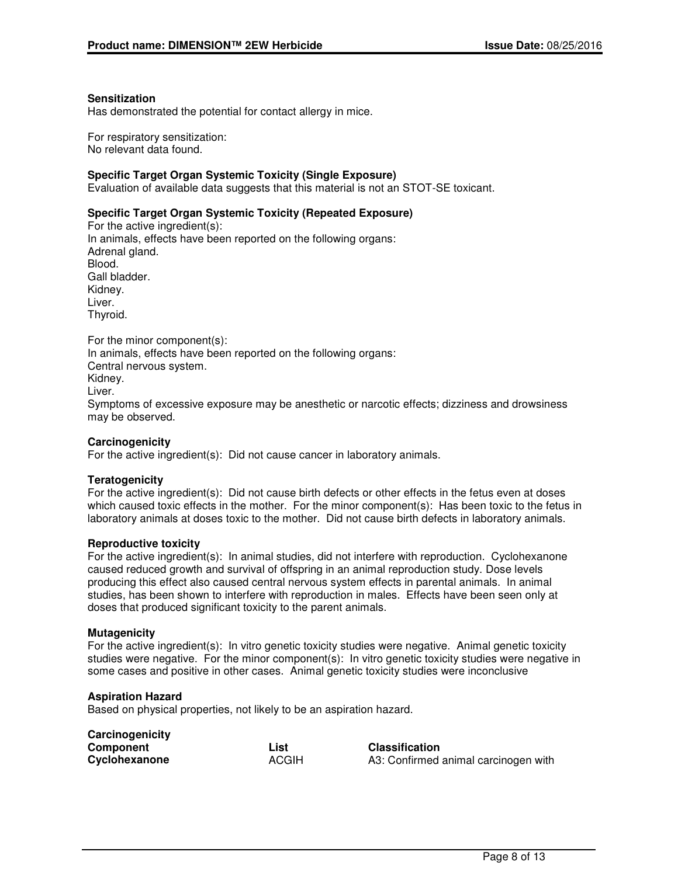#### **Sensitization**

Has demonstrated the potential for contact allergy in mice.

For respiratory sensitization: No relevant data found.

#### **Specific Target Organ Systemic Toxicity (Single Exposure)**

Evaluation of available data suggests that this material is not an STOT-SE toxicant.

### **Specific Target Organ Systemic Toxicity (Repeated Exposure)**

For the active ingredient(s): In animals, effects have been reported on the following organs: Adrenal gland. Blood. Gall bladder. Kidney. Liver. Thyroid.

For the minor component(s): In animals, effects have been reported on the following organs: Central nervous system. Kidney. Liver. Symptoms of excessive exposure may be anesthetic or narcotic effects; dizziness and drowsiness may be observed.

#### **Carcinogenicity**

For the active ingredient(s): Did not cause cancer in laboratory animals.

#### **Teratogenicity**

For the active ingredient(s): Did not cause birth defects or other effects in the fetus even at doses which caused toxic effects in the mother. For the minor component(s): Has been toxic to the fetus in laboratory animals at doses toxic to the mother. Did not cause birth defects in laboratory animals.

#### **Reproductive toxicity**

For the active ingredient(s): In animal studies, did not interfere with reproduction. Cyclohexanone caused reduced growth and survival of offspring in an animal reproduction study. Dose levels producing this effect also caused central nervous system effects in parental animals. In animal studies, has been shown to interfere with reproduction in males. Effects have been seen only at doses that produced significant toxicity to the parent animals.

#### **Mutagenicity**

For the active ingredient(s): In vitro genetic toxicity studies were negative. Animal genetic toxicity studies were negative. For the minor component(s): In vitro genetic toxicity studies were negative in some cases and positive in other cases. Animal genetic toxicity studies were inconclusive

#### **Aspiration Hazard**

Based on physical properties, not likely to be an aspiration hazard.

| Carcinogenicity |              |
|-----------------|--------------|
| Component       | List         |
| Cyclohexanone   | <b>ACGIH</b> |

**Classification** A3: Confirmed animal carcinogen with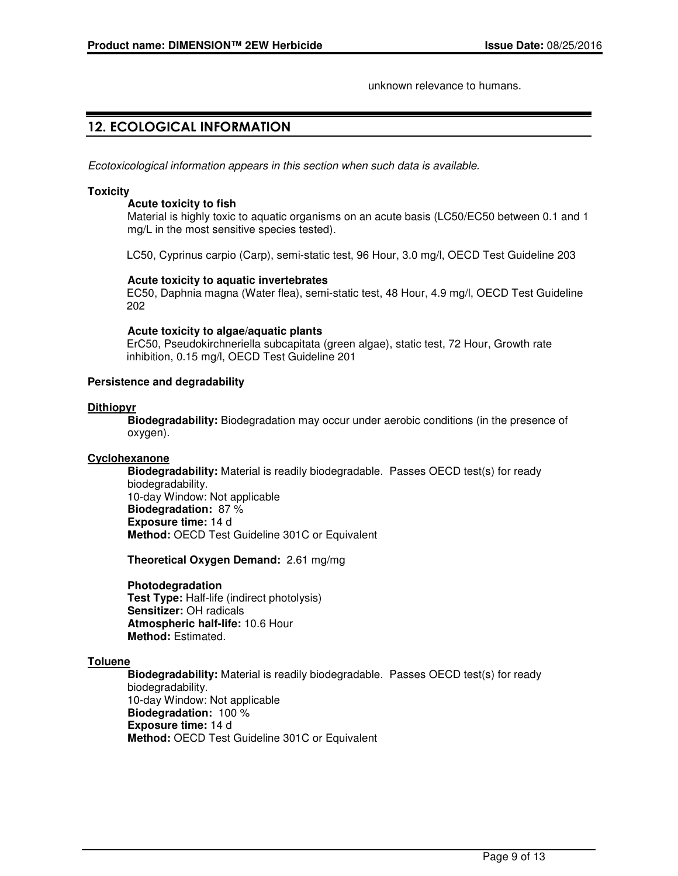unknown relevance to humans.

## **12. ECOLOGICAL INFORMATION**

Ecotoxicological information appears in this section when such data is available.

#### **Toxicity**

#### **Acute toxicity to fish**

Material is highly toxic to aquatic organisms on an acute basis (LC50/EC50 between 0.1 and 1 mg/L in the most sensitive species tested).

LC50, Cyprinus carpio (Carp), semi-static test, 96 Hour, 3.0 mg/l, OECD Test Guideline 203

### **Acute toxicity to aquatic invertebrates**

EC50, Daphnia magna (Water flea), semi-static test, 48 Hour, 4.9 mg/l, OECD Test Guideline 202

#### **Acute toxicity to algae/aquatic plants**

ErC50, Pseudokirchneriella subcapitata (green algae), static test, 72 Hour, Growth rate inhibition, 0.15 mg/l, OECD Test Guideline 201

### **Persistence and degradability**

### **Dithiopyr**

**Biodegradability:** Biodegradation may occur under aerobic conditions (in the presence of oxygen).

#### **Cyclohexanone**

**Biodegradability:** Material is readily biodegradable. Passes OECD test(s) for ready biodegradability. 10-day Window: Not applicable **Biodegradation:** 87 % **Exposure time:** 14 d **Method:** OECD Test Guideline 301C or Equivalent

**Theoretical Oxygen Demand:** 2.61 mg/mg

#### **Photodegradation**

**Test Type:** Half-life (indirect photolysis) **Sensitizer:** OH radicals **Atmospheric half-life:** 10.6 Hour **Method:** Estimated.

#### **Toluene**

**Biodegradability:** Material is readily biodegradable. Passes OECD test(s) for ready biodegradability. 10-day Window: Not applicable **Biodegradation:** 100 % **Exposure time:** 14 d **Method:** OECD Test Guideline 301C or Equivalent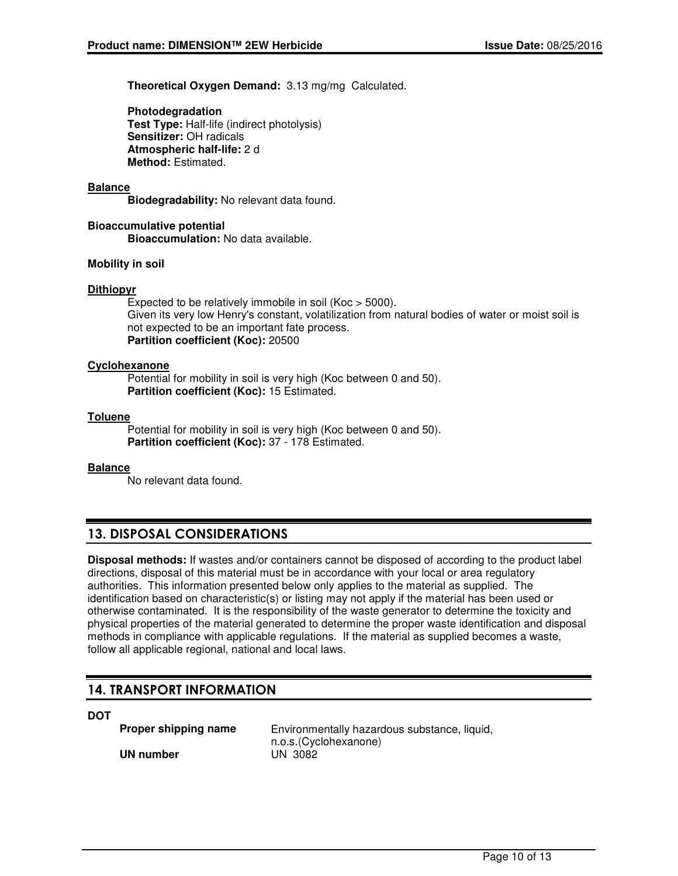**Theoretical Oxygen Demand:** 3.13 mg/mg Calculated.

**Photodegradation Test Type:** Half-life (indirect photolysis) **Sensitizer:** OH radicals **Atmospheric half-life:** 2 d **Method:** Estimated.

### **Balance**

**Biodegradability:** No relevant data found.

**Bioaccumulative potential Bioaccumulation:** No data available.

#### **Mobility in soil**

### **Dithiopyr**

Expected to be relatively immobile in soil (Koc > 5000). Given its very low Henry's constant, volatilization from natural bodies of water or moist soil is not expected to be an important fate process. **Partition coefficient (Koc):** 20500

#### **Cyclohexanone**

Potential for mobility in soil is very high (Koc between 0 and 50). **Partition coefficient (Koc):** 15 Estimated.

### **Toluene**

Potential for mobility in soil is very high (Koc between 0 and 50). **Partition coefficient (Koc):** 37 - 178 Estimated.

#### **Balance**

No relevant data found.

## **13. DISPOSAL CONSIDERATIONS**

**Disposal methods:** If wastes and/or containers cannot be disposed of according to the product label directions, disposal of this material must be in accordance with your local or area regulatory authorities. This information presented below only applies to the material as supplied. The identification based on characteristic(s) or listing may not apply if the material has been used or otherwise contaminated. It is the responsibility of the waste generator to determine the toxicity and physical properties of the material generated to determine the proper waste identification and disposal methods in compliance with applicable regulations. If the material as supplied becomes a waste, follow all applicable regional, national and local laws.

## **14. TRANSPORT INFORMATION**

**DOT**

**UN number** 

**Proper shipping name** Environmentally hazardous substance, liquid, n.o.s.(Cyclohexanone)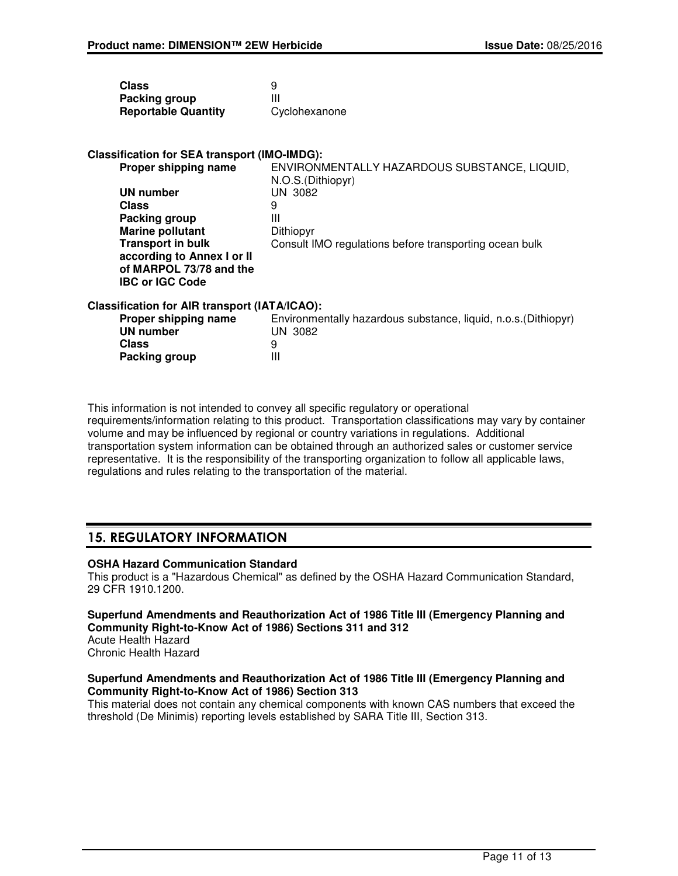| <b>Class</b>               | 9             |
|----------------------------|---------------|
| Packing group              | Ш             |
| <b>Reportable Quantity</b> | Cyclohexanone |

### **Classification for SEA transport (IMO-IMDG):**

| Proper shipping name       | ENVIRONMENTALLY HAZARDOUS SUBSTANCE, LIQUID,           |
|----------------------------|--------------------------------------------------------|
|                            | N.O.S. (Dithiopyr)                                     |
| UN number                  | UN 3082                                                |
| <b>Class</b>               | 9                                                      |
| Packing group              | Ш                                                      |
| <b>Marine pollutant</b>    | Dithiopyr                                              |
| <b>Transport in bulk</b>   | Consult IMO regulations before transporting ocean bulk |
| according to Annex I or II |                                                        |
| of MARPOL 73/78 and the    |                                                        |
| <b>IBC or IGC Code</b>     |                                                        |
|                            |                                                        |

### **Classification for AIR transport (IATA/ICAO):**

| Proper shipping name | Environmentally hazardous substance, liquid, n.o.s. (Dithiopyr) |
|----------------------|-----------------------------------------------------------------|
| UN number            | UN 3082                                                         |
| <b>Class</b>         |                                                                 |
| Packing group        | Ш                                                               |
|                      |                                                                 |

This information is not intended to convey all specific regulatory or operational requirements/information relating to this product. Transportation classifications may vary by container volume and may be influenced by regional or country variations in regulations. Additional transportation system information can be obtained through an authorized sales or customer service representative. It is the responsibility of the transporting organization to follow all applicable laws, regulations and rules relating to the transportation of the material.

## **15. REGULATORY INFORMATION**

### **OSHA Hazard Communication Standard**

This product is a "Hazardous Chemical" as defined by the OSHA Hazard Communication Standard, 29 CFR 1910.1200.

### **Superfund Amendments and Reauthorization Act of 1986 Title III (Emergency Planning and Community Right-to-Know Act of 1986) Sections 311 and 312**

Acute Health Hazard Chronic Health Hazard

### **Superfund Amendments and Reauthorization Act of 1986 Title III (Emergency Planning and Community Right-to-Know Act of 1986) Section 313**

This material does not contain any chemical components with known CAS numbers that exceed the threshold (De Minimis) reporting levels established by SARA Title III, Section 313.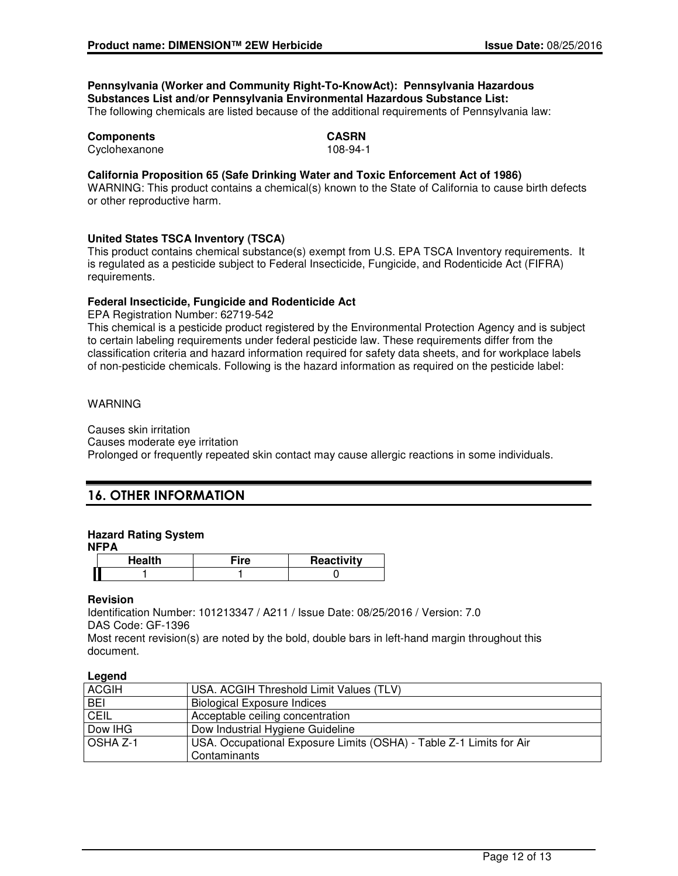### **Pennsylvania (Worker and Community Right-To-KnowAct): Pennsylvania Hazardous Substances List and/or Pennsylvania Environmental Hazardous Substance List:**

The following chemicals are listed because of the additional requirements of Pennsylvania law:

| <b>Components</b> | CASRN    |
|-------------------|----------|
| Cyclohexanone     | 108-94-1 |

#### **California Proposition 65 (Safe Drinking Water and Toxic Enforcement Act of 1986)**

WARNING: This product contains a chemical(s) known to the State of California to cause birth defects or other reproductive harm.

### **United States TSCA Inventory (TSCA)**

This product contains chemical substance(s) exempt from U.S. EPA TSCA Inventory requirements. It is regulated as a pesticide subject to Federal Insecticide, Fungicide, and Rodenticide Act (FIFRA) requirements.

### **Federal Insecticide, Fungicide and Rodenticide Act**

EPA Registration Number: 62719-542

This chemical is a pesticide product registered by the Environmental Protection Agency and is subject to certain labeling requirements under federal pesticide law. These requirements differ from the classification criteria and hazard information required for safety data sheets, and for workplace labels of non-pesticide chemicals. Following is the hazard information as required on the pesticide label:

### WARNING

Causes skin irritation Causes moderate eye irritation Prolonged or frequently repeated skin contact may cause allergic reactions in some individuals.

## **16. OTHER INFORMATION**

### **Hazard Rating System**

**NFPA**

|  | ıre | Reactivity |
|--|-----|------------|
|  |     |            |

#### **Revision**

Identification Number: 101213347 / A211 / Issue Date: 08/25/2016 / Version: 7.0 DAS Code: GF-1396

Most recent revision(s) are noted by the bold, double bars in left-hand margin throughout this document.

#### **Legend**

| <b>ACGIH</b> | USA. ACGIH Threshold Limit Values (TLV)                             |
|--------------|---------------------------------------------------------------------|
| <b>BEI</b>   | Biological Exposure Indices                                         |
| <b>CEIL</b>  | Acceptable ceiling concentration                                    |
| Dow IHG      | Dow Industrial Hygiene Guideline                                    |
| OSHA Z-1     | USA. Occupational Exposure Limits (OSHA) - Table Z-1 Limits for Air |
|              | Contaminants                                                        |